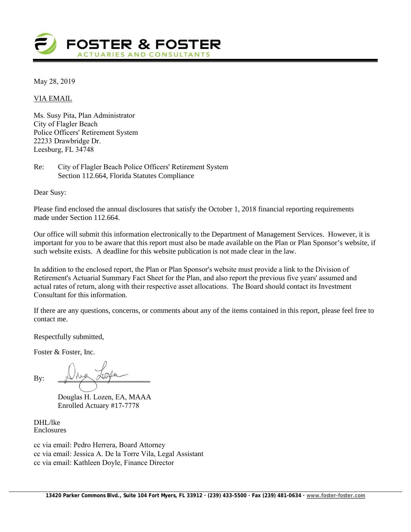

May 28, 2019

VIA EMAIL

Ms. Susy Pita, Plan Administrator City of Flagler Beach Police Officers' Retirement System 22233 Drawbridge Dr. Leesburg, FL 34748

Re: City of Flagler Beach Police Officers' Retirement System Section 112.664, Florida Statutes Compliance

Dear Susy:

Please find enclosed the annual disclosures that satisfy the October 1, 2018 financial reporting requirements made under Section 112.664.

Our office will submit this information electronically to the Department of Management Services. However, it is important for you to be aware that this report must also be made available on the Plan or Plan Sponsor's website, if such website exists. A deadline for this website publication is not made clear in the law.

In addition to the enclosed report, the Plan or Plan Sponsor's website must provide a link to the Division of Retirement's Actuarial Summary Fact Sheet for the Plan, and also report the previous five years' assumed and actual rates of return, along with their respective asset allocations. The Board should contact its Investment Consultant for this information.

If there are any questions, concerns, or comments about any of the items contained in this report, please feel free to contact me.

Respectfully submitted,

Foster & Foster, Inc.

By:  $\mathbb{D}^{\text{max}}$ 

Douglas H. Lozen, EA, MAAA Enrolled Actuary #17-7778

DHL/lke Enclosures

cc via email: Pedro Herrera, Board Attorney cc via email: Jessica A. De la Torre Vila, Legal Assistant cc via email: Kathleen Doyle, Finance Director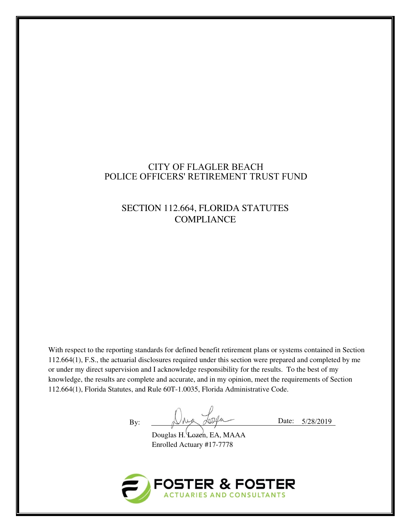## CITY OF FLAGLER BEACH POLICE OFFICERS' RETIREMENT TRUST FUND

# SECTION 112.664, FLORIDA STATUTES **COMPLIANCE**

With respect to the reporting standards for defined benefit retirement plans or systems contained in Section 112.664(1), F.S., the actuarial disclosures required under this section were prepared and completed by me or under my direct supervision and I acknowledge responsibility for the results. To the best of my knowledge, the results are complete and accurate, and in my opinion, meet the requirements of Section 112.664(1), Florida Statutes, and Rule 60T-1.0035, Florida Administrative Code.

By: Date: 5/28/2019

Douglas H. Lozen, EA, MAAA Enrolled Actuary #17-7778

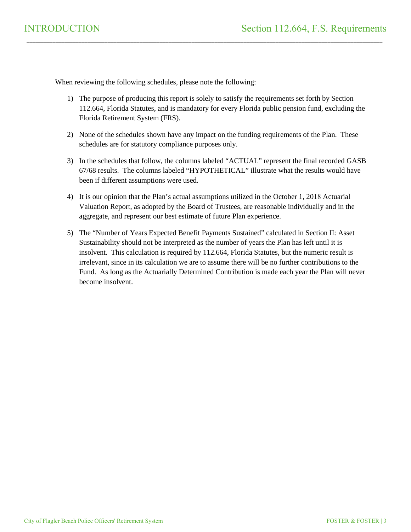When reviewing the following schedules, please note the following:

1) The purpose of producing this report is solely to satisfy the requirements set forth by Section 112.664, Florida Statutes, and is mandatory for every Florida public pension fund, excluding the Florida Retirement System (FRS).

\_\_\_\_\_\_\_\_\_\_\_\_\_\_\_\_\_\_\_\_\_\_\_\_\_\_\_\_\_\_\_\_\_\_\_\_\_\_\_\_\_\_\_\_\_\_\_\_\_\_\_\_\_\_\_\_\_\_\_\_\_\_\_\_\_\_\_\_\_\_\_\_\_\_\_\_\_\_\_\_\_\_\_\_\_\_\_\_\_\_\_\_\_\_\_\_\_\_\_\_\_\_\_\_\_\_\_\_\_\_\_\_\_\_\_\_\_\_\_\_\_\_\_

- 2) None of the schedules shown have any impact on the funding requirements of the Plan. These schedules are for statutory compliance purposes only.
- 3) In the schedules that follow, the columns labeled "ACTUAL" represent the final recorded GASB 67/68 results. The columns labeled "HYPOTHETICAL" illustrate what the results would have been if different assumptions were used.
- 4) It is our opinion that the Plan's actual assumptions utilized in the October 1, 2018 Actuarial Valuation Report, as adopted by the Board of Trustees, are reasonable individually and in the aggregate, and represent our best estimate of future Plan experience.
- 5) The "Number of Years Expected Benefit Payments Sustained" calculated in Section II: Asset Sustainability should not be interpreted as the number of years the Plan has left until it is insolvent. This calculation is required by 112.664, Florida Statutes, but the numeric result is irrelevant, since in its calculation we are to assume there will be no further contributions to the Fund. As long as the Actuarially Determined Contribution is made each year the Plan will never become insolvent.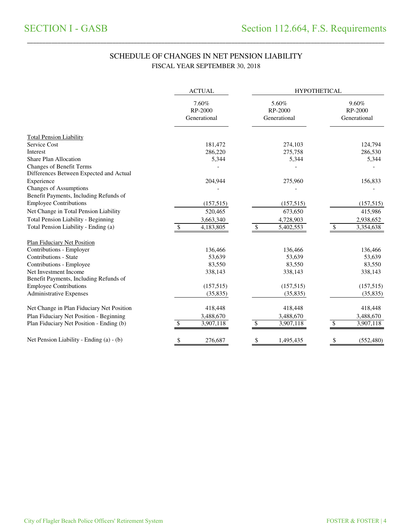## SCHEDULE OF CHANGES IN NET PENSION LIABILITY FISCAL YEAR SEPTEMBER 30, 2018

\_\_\_\_\_\_\_\_\_\_\_\_\_\_\_\_\_\_\_\_\_\_\_\_\_\_\_\_\_\_\_\_\_\_\_\_\_\_\_\_\_\_\_\_\_\_\_\_\_\_\_\_\_\_\_\_\_\_\_\_\_\_\_\_\_\_\_\_\_\_\_\_\_\_\_\_\_\_\_\_\_\_\_\_\_\_\_\_\_\_\_\_\_\_\_\_\_\_\_\_\_\_\_\_\_\_\_\_\_\_\_\_\_\_\_\_\_\_\_\_\_\_\_\_\_\_\_\_\_\_\_\_\_

|                                                                         | <b>ACTUAL</b>                    | <b>HYPOTHETICAL</b>              |                                  |  |  |
|-------------------------------------------------------------------------|----------------------------------|----------------------------------|----------------------------------|--|--|
|                                                                         | 7.60%<br>RP-2000<br>Generational | 5.60%<br>RP-2000<br>Generational | 9.60%<br>RP-2000<br>Generational |  |  |
| <b>Total Pension Liability</b>                                          |                                  |                                  |                                  |  |  |
| Service Cost                                                            | 181,472                          | 274,103                          | 124,794                          |  |  |
| Interest                                                                | 286,220                          | 275,758                          | 286,530                          |  |  |
| <b>Share Plan Allocation</b>                                            | 5,344                            | 5,344                            | 5,344                            |  |  |
| Changes of Benefit Terms<br>Differences Between Expected and Actual     |                                  |                                  |                                  |  |  |
| Experience                                                              | 204,944                          | 275,960                          | 156,833                          |  |  |
| <b>Changes of Assumptions</b><br>Benefit Payments, Including Refunds of |                                  |                                  |                                  |  |  |
| <b>Employee Contributions</b>                                           | (157,515)                        | (157,515)                        | (157,515)                        |  |  |
| Net Change in Total Pension Liability                                   | 520,465                          | 673,650                          | 415,986                          |  |  |
| Total Pension Liability - Beginning                                     | 3,663,340                        | 4,728,903                        | 2,938,652                        |  |  |
| Total Pension Liability - Ending (a)                                    | 4,183,805                        | 5,402,553<br>S                   | 3,354,638<br>\$.                 |  |  |
| <b>Plan Fiduciary Net Position</b>                                      |                                  |                                  |                                  |  |  |
| Contributions - Employer                                                | 136,466                          | 136,466                          | 136,466                          |  |  |
| Contributions - State                                                   | 53,639                           | 53,639                           | 53,639                           |  |  |
| Contributions - Employee                                                | 83,550                           | 83,550                           | 83,550                           |  |  |
| Net Investment Income                                                   | 338,143                          | 338,143                          | 338,143                          |  |  |
| Benefit Payments, Including Refunds of                                  |                                  |                                  |                                  |  |  |
| <b>Employee Contributions</b>                                           | (157,515)                        | (157,515)                        | (157,515)                        |  |  |
| <b>Administrative Expenses</b>                                          | (35, 835)                        | (35,835)                         | (35, 835)                        |  |  |
| Net Change in Plan Fiduciary Net Position                               | 418,448                          | 418,448                          | 418,448                          |  |  |
| Plan Fiduciary Net Position - Beginning                                 | 3,488,670                        | 3,488,670                        | 3,488,670                        |  |  |
| Plan Fiduciary Net Position - Ending (b)                                | \$<br>3,907,118                  | \$<br>3,907,118                  | \$<br>3,907,118                  |  |  |
| Net Pension Liability - Ending (a) - (b)                                | 276,687<br>\$                    | \$<br>1,495,435                  | \$<br>(552, 480)                 |  |  |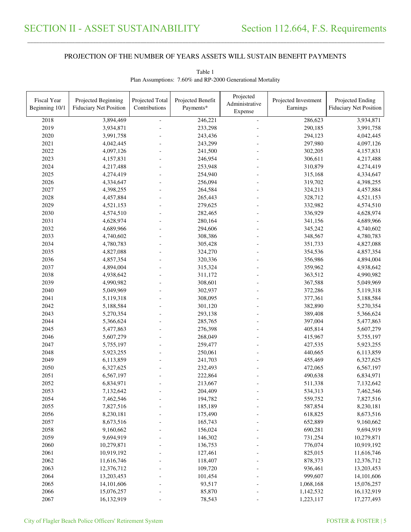\_\_\_\_\_\_\_\_\_\_\_\_\_\_\_\_\_\_\_\_\_\_\_\_\_\_\_\_\_\_\_\_\_\_\_\_\_\_\_\_\_\_\_\_\_\_\_\_\_\_\_\_\_\_\_\_\_\_\_\_\_\_\_\_\_\_\_\_\_\_\_\_\_\_\_\_\_\_\_\_\_\_\_\_\_\_\_\_\_\_\_\_\_\_\_\_\_\_\_\_\_\_\_\_\_\_\_\_\_\_\_\_\_\_\_\_\_\_\_\_\_\_\_\_\_\_\_\_\_\_\_\_\_\_\_\_\_\_\_\_\_\_\_\_\_\_\_\_\_\_

| Fiscal Year    | Projected Beginning           | Projected Total | Projected Benefit  | Projected                 | Projected Investment   | Projected Ending         |
|----------------|-------------------------------|-----------------|--------------------|---------------------------|------------------------|--------------------------|
| Beginning 10/1 | <b>Fiduciary Net Position</b> | Contributions   | Payments*          | Administrative<br>Expense | Earnings               | Fiduciary Net Position   |
|                |                               |                 |                    |                           | 286,623                |                          |
| 2018<br>2019   | 3,894,469<br>3,934,871        |                 | 246,221<br>233,298 | $\equiv$                  | 290,185                | 3,934,871<br>3,991,758   |
| 2020           | 3,991,758                     |                 | 243,436            |                           | 294,123                | 4,042,445                |
| 2021           | 4,042,445                     |                 | 243,299            |                           | 297,980                | 4,097,126                |
| 2022           | 4,097,126                     |                 | 241,500            |                           | 302,205                | 4,157,831                |
| 2023           | 4,157,831                     |                 | 246,954            |                           | 306,611                | 4,217,488                |
| 2024           | 4,217,488                     |                 | 253,948            |                           | 310,879                | 4,274,419                |
| 2025           | 4,274,419                     |                 | 254,940            |                           | 315,168                | 4,334,647                |
| 2026           | 4,334,647                     |                 | 256,094            |                           | 319,702                | 4,398,255                |
| 2027           | 4,398,255                     |                 | 264,584            |                           | 324,213                | 4,457,884                |
| 2028           | 4,457,884                     |                 | 265,443            |                           | 328,712                | 4,521,153                |
| 2029           | 4,521,153                     |                 | 279,625            |                           | 332,982                | 4,574,510                |
| 2030           | 4,574,510                     |                 | 282,465            |                           | 336,929                | 4,628,974                |
| 2031           | 4,628,974                     |                 | 280,164            |                           | 341,156                | 4,689,966                |
| 2032           | 4,689,966                     |                 | 294,606            |                           | 345,242                | 4,740,602                |
| 2033           | 4,740,602                     |                 | 308,386            |                           | 348,567                | 4,780,783                |
| 2034           | 4,780,783                     |                 | 305,428            |                           | 351,733                | 4,827,088                |
| 2035           | 4,827,088                     |                 | 324,270            |                           | 354,536                | 4,857,354                |
| 2036           | 4,857,354                     |                 | 320,336            |                           | 356,986                | 4,894,004                |
| 2037           | 4,894,004                     |                 | 315,324            |                           | 359,962                | 4,938,642                |
| 2038           | 4,938,642                     |                 | 311,172            |                           | 363,512                | 4,990,982                |
| 2039           | 4,990,982                     |                 | 308,601            |                           | 367,588                | 5,049,969                |
| 2040           |                               |                 | 302,937            |                           |                        |                          |
| 2041           | 5,049,969                     |                 | 308,095            |                           | 372,286<br>377,361     | 5,119,318                |
| 2042           | 5,119,318<br>5,188,584        |                 | 301,120            |                           | 382,890                | 5,188,584<br>5,270,354   |
| 2043           |                               |                 |                    |                           |                        |                          |
| 2044           | 5,270,354                     |                 | 293,138            |                           | 389,408                | 5,366,624                |
| 2045           | 5,366,624                     |                 | 285,765            |                           | 397,004<br>405,814     | 5,477,863                |
| 2046           | 5,477,863<br>5,607,279        |                 | 276,398<br>268,049 |                           | 415,967                | 5,607,279<br>5,755,197   |
| 2047           | 5,755,197                     |                 | 259,477            |                           | 427,535                | 5,923,255                |
| 2048           | 5,923,255                     |                 | 250,061            |                           | 440,665                |                          |
| 2049           | 6,113,859                     |                 | 241,703            |                           | 455,469                | 6,113,859<br>6,327,625   |
| 2050           | 6,327,625                     |                 | 232,493            |                           | 472,065                | 6,567,197                |
| 2051           |                               |                 |                    |                           | 490,638                |                          |
| 2052           | 6,567,197<br>6,834,971        |                 | 222,864<br>213,667 |                           | 511,338                | 6,834,971<br>7,132,642   |
| 2053           |                               |                 | 204,409            |                           |                        |                          |
| 2054           | 7,132,642                     |                 |                    |                           | 534,313                | 7,462,546<br>7,827,516   |
| 2055           | 7,462,546                     |                 | 194,782            |                           | 559,752<br>587,854     |                          |
| 2056           | 7,827,516<br>8,230,181        |                 | 185,189            |                           |                        | 8,230,181<br>8,673,516   |
| 2057           |                               |                 | 175,490<br>165,743 |                           | 618,825                |                          |
| 2058           | 8,673,516<br>9,160,662        |                 | 156,024            |                           | 652,889<br>690,281     | 9,160,662<br>9,694,919   |
|                |                               |                 |                    |                           |                        |                          |
| 2059           | 9,694,919                     |                 | 146,302            |                           | 731,254                | 10,279,871               |
| 2060           | 10,279,871                    |                 | 136,753            |                           | 776,074                | 10,919,192               |
| 2061           | 10,919,192                    |                 | 127,461            |                           | 825,015                | 11,616,746               |
| 2062           | 11,616,746                    |                 | 118,407            |                           | 878,373                | 12,376,712               |
| 2063           | 12,376,712                    |                 | 109,720            |                           | 936,461                | 13,203,453               |
| 2064           | 13,203,453                    |                 | 101,454            |                           | 999,607                | 14,101,606               |
| 2065           | 14,101,606                    |                 | 93,517             |                           | 1,068,168              | 15,076,257               |
| 2066<br>2067   | 15,076,257<br>16,132,919      |                 | 85,870<br>78,543   |                           | 1,142,532<br>1,223,117 | 16,132,919<br>17,277,493 |
|                |                               |                 |                    |                           |                        |                          |

Table 1 Plan Assumptions: 7.60% and RP-2000 Generational Mortality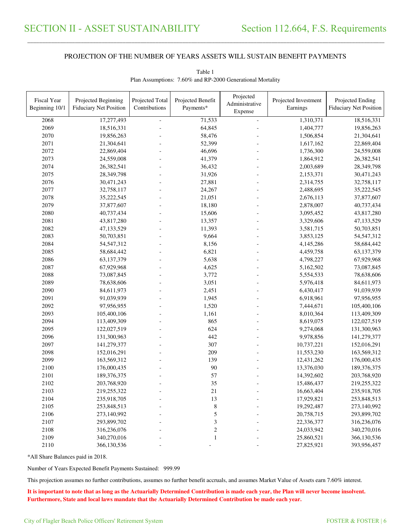\_\_\_\_\_\_\_\_\_\_\_\_\_\_\_\_\_\_\_\_\_\_\_\_\_\_\_\_\_\_\_\_\_\_\_\_\_\_\_\_\_\_\_\_\_\_\_\_\_\_\_\_\_\_\_\_\_\_\_\_\_\_\_\_\_\_\_\_\_\_\_\_\_\_\_\_\_\_\_\_\_\_\_\_\_\_\_\_\_\_\_\_\_\_\_\_\_\_\_\_\_\_\_\_\_\_\_\_\_\_\_\_\_\_\_\_\_\_\_\_\_\_\_\_\_\_\_\_\_\_\_\_\_\_\_\_\_\_\_\_\_\_\_\_\_\_\_\_\_\_

| Fiscal Year<br>Beginning 10/1 | Projected Beginning<br><b>Fiduciary Net Position</b> | Projected Total<br>Contributions | Projected Benefit<br>Payments* | Projected<br>Administrative<br>Expense | Projected Investment<br>Earnings | Projected Ending<br><b>Fiduciary Net Position</b> |
|-------------------------------|------------------------------------------------------|----------------------------------|--------------------------------|----------------------------------------|----------------------------------|---------------------------------------------------|
| 2068                          | 17,277,493                                           |                                  | 71,533                         | $\blacksquare$                         | 1,310,371                        | 18,516,331                                        |
| 2069                          | 18,516,331                                           |                                  | 64,845                         |                                        | 1,404,777                        | 19,856,263                                        |
| 2070                          | 19,856,263                                           |                                  | 58,476                         |                                        | 1,506,854                        | 21,304,641                                        |
| 2071                          | 21,304,641                                           |                                  | 52,399                         |                                        | 1,617,162                        | 22,869,404                                        |
| 2072                          | 22,869,404                                           |                                  | 46,696                         |                                        | 1,736,300                        | 24,559,008                                        |
| 2073                          | 24,559,008                                           |                                  | 41,379                         |                                        | 1,864,912                        | 26,382,541                                        |
| 2074                          | 26,382,541                                           |                                  | 36,432                         |                                        | 2,003,689                        | 28,349,798                                        |
| 2075                          | 28,349,798                                           |                                  | 31,926                         |                                        | 2,153,371                        | 30,471,243                                        |
| 2076                          | 30,471,243                                           |                                  | 27,881                         |                                        | 2,314,755                        | 32,758,117                                        |
| 2077                          | 32,758,117                                           |                                  | 24,267                         |                                        | 2,488,695                        | 35,222,545                                        |
| 2078                          | 35,222,545                                           |                                  | 21,051                         |                                        | 2,676,113                        | 37,877,607                                        |
| 2079                          | 37,877,607                                           |                                  | 18,180                         |                                        | 2,878,007                        | 40,737,434                                        |
| 2080                          | 40,737,434                                           |                                  | 15,606                         |                                        | 3,095,452                        | 43,817,280                                        |
| 2081                          | 43,817,280                                           |                                  | 13,357                         |                                        | 3,329,606                        | 47,133,529                                        |
| 2082                          | 47,133,529                                           |                                  | 11,393                         |                                        | 3,581,715                        | 50,703,851                                        |
| 2083                          | 50,703,851                                           |                                  | 9,664                          |                                        | 3,853,125                        | 54,547,312                                        |
| 2084                          | 54,547,312                                           |                                  | 8,156                          |                                        | 4,145,286                        | 58,684,442                                        |
| 2085                          | 58,684,442                                           |                                  | 6,821                          |                                        | 4,459,758                        | 63,137,379                                        |
| 2086                          | 63,137,379                                           |                                  | 5,638                          |                                        | 4,798,227                        | 67,929,968                                        |
| 2087                          | 67,929,968                                           |                                  | 4,625                          |                                        | 5,162,502                        | 73,087,845                                        |
| 2088                          | 73,087,845                                           |                                  | 3,772                          |                                        | 5,554,533                        | 78,638,606                                        |
| 2089                          | 78,638,606                                           |                                  | 3,051                          |                                        | 5,976,418                        | 84,611,973                                        |
| 2090                          | 84,611,973                                           |                                  | 2,451                          |                                        | 6,430,417                        | 91,039,939                                        |
| 2091                          | 91,039,939                                           |                                  | 1,945                          |                                        | 6,918,961                        | 97,956,955                                        |
| 2092                          | 97,956,955                                           |                                  | 1,520                          |                                        | 7,444,671                        | 105,400,106                                       |
| 2093                          | 105,400,106                                          |                                  | 1,161                          |                                        | 8,010,364                        | 113,409,309                                       |
| 2094                          | 113,409,309                                          |                                  | 865                            |                                        | 8,619,075                        | 122,027,519                                       |
| 2095                          | 122,027,519                                          |                                  | 624                            |                                        | 9,274,068                        | 131,300,963                                       |
| 2096                          | 131,300,963                                          |                                  | 442                            |                                        | 9,978,856                        | 141,279,377                                       |
| 2097                          | 141,279,377                                          |                                  | 307                            |                                        | 10,737,221                       | 152,016,291                                       |
| 2098                          | 152,016,291                                          |                                  | 209                            |                                        | 11,553,230                       | 163,569,312                                       |
| 2099                          | 163,569,312                                          |                                  | 139                            |                                        | 12,431,262                       | 176,000,435                                       |
| 2100                          | 176,000,435                                          |                                  | 90                             |                                        | 13,376,030                       | 189, 376, 375                                     |
| 2101                          | 189,376,375                                          |                                  | 57                             |                                        | 14,392,602                       | 203,768,920                                       |
| 2102                          | 203,768,920                                          |                                  | 35                             |                                        | 15,486,437                       | 219,255,322                                       |
| 2103                          | 219,255,322                                          |                                  | 21                             |                                        | 16,663,404                       | 235,918,705                                       |
| 2104                          | 235,918,705                                          |                                  | 13                             |                                        | 17,929,821                       | 253,848,513                                       |
| 2105                          | 253,848,513                                          |                                  | $\,$ 8 $\,$                    |                                        | 19,292,487                       | 273,140,992                                       |
| 2106                          | 273,140,992                                          |                                  | 5                              |                                        | 20,758,715                       | 293,899,702                                       |
| 2107                          | 293,899,702                                          |                                  | $\sqrt{3}$                     |                                        | 22,336,377                       | 316,236,076                                       |
| 2108                          | 316,236,076                                          |                                  | $\sqrt{2}$                     |                                        | 24,033,942                       | 340,270,016                                       |
| 2109                          | 340,270,016                                          |                                  | $\mathbf{1}$                   |                                        | 25,860,521                       | 366,130,536                                       |
| 2110                          | 366,130,536                                          |                                  |                                |                                        | 27,825,921                       | 393,956,457                                       |

Table 1 Plan Assumptions: 7.60% and RP-2000 Generational Mortality

\*All Share Balances paid in 2018.

Number of Years Expected Benefit Payments Sustained: 999.99

This projection assumes no further contributions, assumes no further benefit accruals, and assumes Market Value of Assets earn 7.60% interest.

**It is important to note that as long as the Actuarially Determined Contribution is made each year, the Plan will never become insolvent. Furthermore, State and local laws mandate that the Actuarially Determined Contribution be made each year.**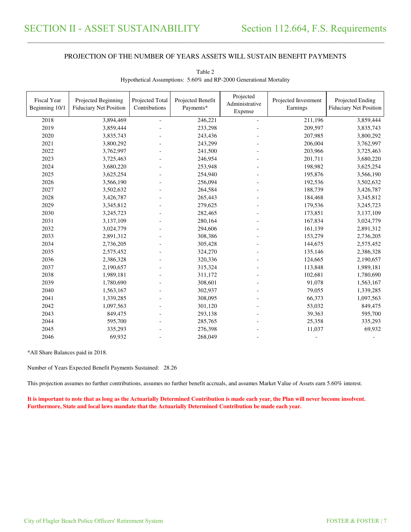\_\_\_\_\_\_\_\_\_\_\_\_\_\_\_\_\_\_\_\_\_\_\_\_\_\_\_\_\_\_\_\_\_\_\_\_\_\_\_\_\_\_\_\_\_\_\_\_\_\_\_\_\_\_\_\_\_\_\_\_\_\_\_\_\_\_\_\_\_\_\_\_\_\_\_\_\_\_\_\_\_\_\_\_\_\_\_\_\_\_\_\_\_\_\_\_\_\_\_\_\_\_\_\_\_\_\_\_\_\_\_\_\_\_\_\_\_\_\_\_\_\_\_\_\_\_\_\_\_\_\_\_\_\_\_\_\_\_\_\_\_\_\_\_\_\_\_\_\_\_

| Fiscal Year<br>Beginning 10/1 | Projected Beginning<br><b>Fiduciary Net Position</b> | Projected Total<br>Contributions | Projected Benefit<br>Payments* | Projected<br>Administrative<br>Expense | Projected Investment<br>Earnings | Projected Ending<br><b>Fiduciary Net Position</b> |
|-------------------------------|------------------------------------------------------|----------------------------------|--------------------------------|----------------------------------------|----------------------------------|---------------------------------------------------|
| 2018                          | 3,894,469                                            | ÷,                               | 246,221                        | $\blacksquare$                         | 211,196                          | 3,859,444                                         |
| 2019                          | 3,859,444                                            |                                  | 233,298                        |                                        | 209,597                          | 3,835,743                                         |
| 2020                          | 3,835,743                                            |                                  | 243,436                        |                                        | 207,985                          | 3,800,292                                         |
| 2021                          | 3,800,292                                            |                                  | 243,299                        |                                        | 206,004                          | 3,762,997                                         |
| 2022                          | 3,762,997                                            |                                  | 241,500                        |                                        | 203,966                          | 3,725,463                                         |
| 2023                          | 3,725,463                                            |                                  | 246,954                        |                                        | 201,711                          | 3,680,220                                         |
| 2024                          | 3,680,220                                            |                                  | 253,948                        |                                        | 198,982                          | 3,625,254                                         |
| 2025                          | 3,625,254                                            |                                  | 254,940                        |                                        | 195,876                          | 3,566,190                                         |
| 2026                          | 3,566,190                                            |                                  | 256,094                        |                                        | 192,536                          | 3,502,632                                         |
| 2027                          | 3,502,632                                            |                                  | 264,584                        |                                        | 188,739                          | 3,426,787                                         |
| 2028                          | 3,426,787                                            |                                  | 265,443                        |                                        | 184,468                          | 3,345,812                                         |
| 2029                          | 3,345,812                                            |                                  | 279,625                        |                                        | 179,536                          | 3,245,723                                         |
| 2030                          | 3,245,723                                            |                                  | 282,465                        |                                        | 173,851                          | 3,137,109                                         |
| 2031                          | 3,137,109                                            |                                  | 280,164                        |                                        | 167,834                          | 3,024,779                                         |
| 2032                          | 3,024,779                                            |                                  | 294,606                        |                                        | 161,139                          | 2,891,312                                         |
| 2033                          | 2,891,312                                            |                                  | 308,386                        |                                        | 153,279                          | 2,736,205                                         |
| 2034                          | 2,736,205                                            |                                  | 305,428                        |                                        | 144,675                          | 2,575,452                                         |
| 2035                          | 2,575,452                                            |                                  | 324,270                        |                                        | 135,146                          | 2,386,328                                         |
| 2036                          | 2,386,328                                            |                                  | 320,336                        |                                        | 124,665                          | 2,190,657                                         |
| 2037                          | 2,190,657                                            |                                  | 315,324                        |                                        | 113,848                          | 1,989,181                                         |
| 2038                          | 1,989,181                                            |                                  | 311,172                        |                                        | 102,681                          | 1,780,690                                         |
| 2039                          | 1,780,690                                            |                                  | 308,601                        |                                        | 91,078                           | 1,563,167                                         |
| 2040                          | 1,563,167                                            |                                  | 302,937                        |                                        | 79,055                           | 1,339,285                                         |
| 2041                          | 1,339,285                                            |                                  | 308,095                        |                                        | 66,373                           | 1,097,563                                         |
| 2042                          | 1,097,563                                            |                                  | 301,120                        |                                        | 53,032                           | 849,475                                           |
| 2043                          | 849,475                                              |                                  | 293,138                        |                                        | 39,363                           | 595,700                                           |
| 2044                          | 595,700                                              |                                  | 285,765                        |                                        | 25,358                           | 335,293                                           |
| 2045                          | 335,293                                              |                                  | 276,398                        |                                        | 11,037                           | 69,932                                            |
| 2046                          | 69,932                                               |                                  | 268,049                        |                                        |                                  |                                                   |

Table 2 Hypothetical Assumptions: 5.60% and RP-2000 Generational Mortality

\*All Share Balances paid in 2018.

Number of Years Expected Benefit Payments Sustained: 28.26

This projection assumes no further contributions, assumes no further benefit accruals, and assumes Market Value of Assets earn 5.60% interest.

**It is important to note that as long as the Actuarially Determined Contribution is made each year, the Plan will never become insolvent. Furthermore, State and local laws mandate that the Actuarially Determined Contribution be made each year.**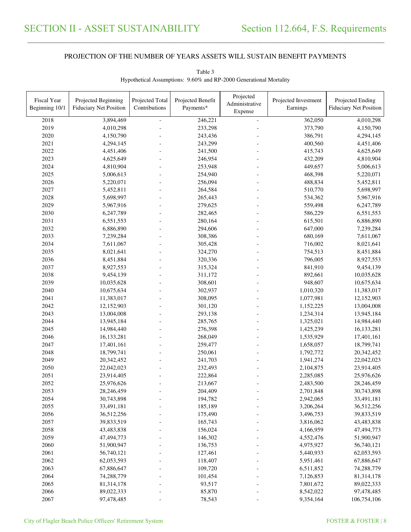\_\_\_\_\_\_\_\_\_\_\_\_\_\_\_\_\_\_\_\_\_\_\_\_\_\_\_\_\_\_\_\_\_\_\_\_\_\_\_\_\_\_\_\_\_\_\_\_\_\_\_\_\_\_\_\_\_\_\_\_\_\_\_\_\_\_\_\_\_\_\_\_\_\_\_\_\_\_\_\_\_\_\_\_\_\_\_\_\_\_\_\_\_\_\_\_\_\_\_\_\_\_\_\_\_\_\_\_\_\_\_\_\_\_\_\_\_\_\_\_\_\_\_\_\_\_\_\_\_\_\_\_\_\_\_\_\_\_\_\_\_\_\_\_\_\_\_\_\_\_

| Administrative<br>Contributions<br>Payments*<br>Beginning 10/1<br><b>Fiduciary Net Position</b><br>Earnings<br><b>Fiduciary Net Position</b><br>Expense<br>3,894,469<br>246,221<br>362,050<br>4,010,298<br>2018<br>$\equiv$<br>2019<br>373,790<br>4,010,298<br>233,298<br>4,150,790<br>2020<br>386,791<br>4,150,790<br>243,436<br>4,294,145<br>2021<br>400,560<br>4,294,145<br>243,299<br>4,451,406<br>2022<br>4,451,406<br>241,500<br>415,743<br>4,625,649<br>2023<br>4,625,649<br>246,954<br>432,209<br>4,810,904<br>2024<br>449,657<br>4,810,904<br>253,948<br>5,006,613<br>2025<br>5,006,613<br>468,398<br>254,940<br>5,220,071<br>2026<br>256,094<br>488,834<br>5,220,071<br>5,452,811<br>2027<br>264,584<br>510,770<br>5,698,997<br>5,452,811<br>2028<br>265,443<br>5,698,997<br>534,362<br>5,967,916<br>2029<br>279,625<br>559,498<br>5,967,916<br>6,247,789<br>2030<br>586,229<br>6,247,789<br>282,465<br>6,551,553<br>2031<br>6,551,553<br>280,164<br>615,501<br>6,886,890<br>2032<br>647,000<br>6,886,890<br>294,606<br>7,239,284<br>2033<br>7,239,284<br>308,386<br>680,169<br>7,611,067<br>2034<br>716,002<br>7,611,067<br>305,428<br>8,021,641<br>2035<br>324,270<br>754,513<br>8,021,641<br>8,451,884<br>2036<br>796,005<br>8,451,884<br>320,336<br>8,927,553<br>2037<br>315,324<br>841,910<br>9,454,139<br>8,927,553<br>2038<br>10,035,628<br>9,454,139<br>311,172<br>892,661<br>2039<br>948,607<br>10,035,628<br>308,601<br>10,675,634<br>2040<br>302,937<br>10,675,634<br>1,010,320<br>11,383,017<br>2041<br>308,095<br>11,383,017<br>1,077,981<br>12,152,903<br>2042<br>12,152,903<br>301,120<br>1,152,225<br>13,004,008<br>2043<br>13,004,008<br>293,138<br>1,234,314<br>13,945,184<br>2044<br>13,945,184<br>285,765<br>1,325,021<br>14,984,440<br>2045<br>14,984,440<br>276,398<br>1,425,239<br>16,133,281<br>2046<br>16,133,281<br>268,049<br>1,535,929<br>17,401,161<br>2047<br>17,401,161<br>259,477<br>1,658,057<br>18,799,741<br>2048<br>250,061<br>18,799,741<br>1,792,772<br>20,342,452<br>2049<br>20,342,452<br>241,703<br>1,941,274<br>22,042,023<br>2050<br>22,042,023<br>232,493<br>2,104,875<br>23,914,405<br>2051<br>23,914,405<br>222,864<br>2,285,085<br>25,976,626<br>2052<br>213,667<br>25,976,626<br>2,483,500<br>28,246,459<br>2053<br>204,409<br>28,246,459<br>2,701,848<br>30,743,898<br>2054<br>30,743,898<br>194,782<br>2,942,065<br>33,491,181<br>2055<br>33,491,181<br>185,189<br>3,206,264<br>36,512,256<br>2056<br>36,512,256<br>175,490<br>3,496,753<br>39,833,519<br>2057<br>39,833,519<br>165,743<br>3,816,062<br>43,483,838<br>2058<br>43,483,838<br>156,024<br>4,166,959<br>47,494,773<br>2059<br>146,302<br>47,494,773<br>4,552,476<br>51,900,947<br>2060<br>51,900,947<br>136,753<br>4,975,927<br>56,740,121<br>2061<br>56,740,121<br>62,053,593<br>127,461<br>5,440,933<br>2062<br>62,053,593<br>118,407<br>5,951,461<br>67,886,647<br>2063<br>67,886,647<br>109,720<br>6,511,852<br>74,288,779 | Fiscal Year | Projected Beginning | Projected Total | Projected Benefit | Projected | Projected Investment | Projected Ending |
|--------------------------------------------------------------------------------------------------------------------------------------------------------------------------------------------------------------------------------------------------------------------------------------------------------------------------------------------------------------------------------------------------------------------------------------------------------------------------------------------------------------------------------------------------------------------------------------------------------------------------------------------------------------------------------------------------------------------------------------------------------------------------------------------------------------------------------------------------------------------------------------------------------------------------------------------------------------------------------------------------------------------------------------------------------------------------------------------------------------------------------------------------------------------------------------------------------------------------------------------------------------------------------------------------------------------------------------------------------------------------------------------------------------------------------------------------------------------------------------------------------------------------------------------------------------------------------------------------------------------------------------------------------------------------------------------------------------------------------------------------------------------------------------------------------------------------------------------------------------------------------------------------------------------------------------------------------------------------------------------------------------------------------------------------------------------------------------------------------------------------------------------------------------------------------------------------------------------------------------------------------------------------------------------------------------------------------------------------------------------------------------------------------------------------------------------------------------------------------------------------------------------------------------------------------------------------------------------------------------------------------------------------------------------------------------------------------------------------------------------------------------------------------------------------------------------------------------------------------------------------------------------------------------------------------------------------------|-------------|---------------------|-----------------|-------------------|-----------|----------------------|------------------|
|                                                                                                                                                                                                                                                                                                                                                                                                                                                                                                                                                                                                                                                                                                                                                                                                                                                                                                                                                                                                                                                                                                                                                                                                                                                                                                                                                                                                                                                                                                                                                                                                                                                                                                                                                                                                                                                                                                                                                                                                                                                                                                                                                                                                                                                                                                                                                                                                                                                                                                                                                                                                                                                                                                                                                                                                                                                                                                                                                        |             |                     |                 |                   |           |                      |                  |
|                                                                                                                                                                                                                                                                                                                                                                                                                                                                                                                                                                                                                                                                                                                                                                                                                                                                                                                                                                                                                                                                                                                                                                                                                                                                                                                                                                                                                                                                                                                                                                                                                                                                                                                                                                                                                                                                                                                                                                                                                                                                                                                                                                                                                                                                                                                                                                                                                                                                                                                                                                                                                                                                                                                                                                                                                                                                                                                                                        |             |                     |                 |                   |           |                      |                  |
|                                                                                                                                                                                                                                                                                                                                                                                                                                                                                                                                                                                                                                                                                                                                                                                                                                                                                                                                                                                                                                                                                                                                                                                                                                                                                                                                                                                                                                                                                                                                                                                                                                                                                                                                                                                                                                                                                                                                                                                                                                                                                                                                                                                                                                                                                                                                                                                                                                                                                                                                                                                                                                                                                                                                                                                                                                                                                                                                                        |             |                     |                 |                   |           |                      |                  |
|                                                                                                                                                                                                                                                                                                                                                                                                                                                                                                                                                                                                                                                                                                                                                                                                                                                                                                                                                                                                                                                                                                                                                                                                                                                                                                                                                                                                                                                                                                                                                                                                                                                                                                                                                                                                                                                                                                                                                                                                                                                                                                                                                                                                                                                                                                                                                                                                                                                                                                                                                                                                                                                                                                                                                                                                                                                                                                                                                        |             |                     |                 |                   |           |                      |                  |
|                                                                                                                                                                                                                                                                                                                                                                                                                                                                                                                                                                                                                                                                                                                                                                                                                                                                                                                                                                                                                                                                                                                                                                                                                                                                                                                                                                                                                                                                                                                                                                                                                                                                                                                                                                                                                                                                                                                                                                                                                                                                                                                                                                                                                                                                                                                                                                                                                                                                                                                                                                                                                                                                                                                                                                                                                                                                                                                                                        |             |                     |                 |                   |           |                      |                  |
|                                                                                                                                                                                                                                                                                                                                                                                                                                                                                                                                                                                                                                                                                                                                                                                                                                                                                                                                                                                                                                                                                                                                                                                                                                                                                                                                                                                                                                                                                                                                                                                                                                                                                                                                                                                                                                                                                                                                                                                                                                                                                                                                                                                                                                                                                                                                                                                                                                                                                                                                                                                                                                                                                                                                                                                                                                                                                                                                                        |             |                     |                 |                   |           |                      |                  |
|                                                                                                                                                                                                                                                                                                                                                                                                                                                                                                                                                                                                                                                                                                                                                                                                                                                                                                                                                                                                                                                                                                                                                                                                                                                                                                                                                                                                                                                                                                                                                                                                                                                                                                                                                                                                                                                                                                                                                                                                                                                                                                                                                                                                                                                                                                                                                                                                                                                                                                                                                                                                                                                                                                                                                                                                                                                                                                                                                        |             |                     |                 |                   |           |                      |                  |
|                                                                                                                                                                                                                                                                                                                                                                                                                                                                                                                                                                                                                                                                                                                                                                                                                                                                                                                                                                                                                                                                                                                                                                                                                                                                                                                                                                                                                                                                                                                                                                                                                                                                                                                                                                                                                                                                                                                                                                                                                                                                                                                                                                                                                                                                                                                                                                                                                                                                                                                                                                                                                                                                                                                                                                                                                                                                                                                                                        |             |                     |                 |                   |           |                      |                  |
|                                                                                                                                                                                                                                                                                                                                                                                                                                                                                                                                                                                                                                                                                                                                                                                                                                                                                                                                                                                                                                                                                                                                                                                                                                                                                                                                                                                                                                                                                                                                                                                                                                                                                                                                                                                                                                                                                                                                                                                                                                                                                                                                                                                                                                                                                                                                                                                                                                                                                                                                                                                                                                                                                                                                                                                                                                                                                                                                                        |             |                     |                 |                   |           |                      |                  |
|                                                                                                                                                                                                                                                                                                                                                                                                                                                                                                                                                                                                                                                                                                                                                                                                                                                                                                                                                                                                                                                                                                                                                                                                                                                                                                                                                                                                                                                                                                                                                                                                                                                                                                                                                                                                                                                                                                                                                                                                                                                                                                                                                                                                                                                                                                                                                                                                                                                                                                                                                                                                                                                                                                                                                                                                                                                                                                                                                        |             |                     |                 |                   |           |                      |                  |
|                                                                                                                                                                                                                                                                                                                                                                                                                                                                                                                                                                                                                                                                                                                                                                                                                                                                                                                                                                                                                                                                                                                                                                                                                                                                                                                                                                                                                                                                                                                                                                                                                                                                                                                                                                                                                                                                                                                                                                                                                                                                                                                                                                                                                                                                                                                                                                                                                                                                                                                                                                                                                                                                                                                                                                                                                                                                                                                                                        |             |                     |                 |                   |           |                      |                  |
|                                                                                                                                                                                                                                                                                                                                                                                                                                                                                                                                                                                                                                                                                                                                                                                                                                                                                                                                                                                                                                                                                                                                                                                                                                                                                                                                                                                                                                                                                                                                                                                                                                                                                                                                                                                                                                                                                                                                                                                                                                                                                                                                                                                                                                                                                                                                                                                                                                                                                                                                                                                                                                                                                                                                                                                                                                                                                                                                                        |             |                     |                 |                   |           |                      |                  |
|                                                                                                                                                                                                                                                                                                                                                                                                                                                                                                                                                                                                                                                                                                                                                                                                                                                                                                                                                                                                                                                                                                                                                                                                                                                                                                                                                                                                                                                                                                                                                                                                                                                                                                                                                                                                                                                                                                                                                                                                                                                                                                                                                                                                                                                                                                                                                                                                                                                                                                                                                                                                                                                                                                                                                                                                                                                                                                                                                        |             |                     |                 |                   |           |                      |                  |
|                                                                                                                                                                                                                                                                                                                                                                                                                                                                                                                                                                                                                                                                                                                                                                                                                                                                                                                                                                                                                                                                                                                                                                                                                                                                                                                                                                                                                                                                                                                                                                                                                                                                                                                                                                                                                                                                                                                                                                                                                                                                                                                                                                                                                                                                                                                                                                                                                                                                                                                                                                                                                                                                                                                                                                                                                                                                                                                                                        |             |                     |                 |                   |           |                      |                  |
|                                                                                                                                                                                                                                                                                                                                                                                                                                                                                                                                                                                                                                                                                                                                                                                                                                                                                                                                                                                                                                                                                                                                                                                                                                                                                                                                                                                                                                                                                                                                                                                                                                                                                                                                                                                                                                                                                                                                                                                                                                                                                                                                                                                                                                                                                                                                                                                                                                                                                                                                                                                                                                                                                                                                                                                                                                                                                                                                                        |             |                     |                 |                   |           |                      |                  |
|                                                                                                                                                                                                                                                                                                                                                                                                                                                                                                                                                                                                                                                                                                                                                                                                                                                                                                                                                                                                                                                                                                                                                                                                                                                                                                                                                                                                                                                                                                                                                                                                                                                                                                                                                                                                                                                                                                                                                                                                                                                                                                                                                                                                                                                                                                                                                                                                                                                                                                                                                                                                                                                                                                                                                                                                                                                                                                                                                        |             |                     |                 |                   |           |                      |                  |
|                                                                                                                                                                                                                                                                                                                                                                                                                                                                                                                                                                                                                                                                                                                                                                                                                                                                                                                                                                                                                                                                                                                                                                                                                                                                                                                                                                                                                                                                                                                                                                                                                                                                                                                                                                                                                                                                                                                                                                                                                                                                                                                                                                                                                                                                                                                                                                                                                                                                                                                                                                                                                                                                                                                                                                                                                                                                                                                                                        |             |                     |                 |                   |           |                      |                  |
|                                                                                                                                                                                                                                                                                                                                                                                                                                                                                                                                                                                                                                                                                                                                                                                                                                                                                                                                                                                                                                                                                                                                                                                                                                                                                                                                                                                                                                                                                                                                                                                                                                                                                                                                                                                                                                                                                                                                                                                                                                                                                                                                                                                                                                                                                                                                                                                                                                                                                                                                                                                                                                                                                                                                                                                                                                                                                                                                                        |             |                     |                 |                   |           |                      |                  |
|                                                                                                                                                                                                                                                                                                                                                                                                                                                                                                                                                                                                                                                                                                                                                                                                                                                                                                                                                                                                                                                                                                                                                                                                                                                                                                                                                                                                                                                                                                                                                                                                                                                                                                                                                                                                                                                                                                                                                                                                                                                                                                                                                                                                                                                                                                                                                                                                                                                                                                                                                                                                                                                                                                                                                                                                                                                                                                                                                        |             |                     |                 |                   |           |                      |                  |
|                                                                                                                                                                                                                                                                                                                                                                                                                                                                                                                                                                                                                                                                                                                                                                                                                                                                                                                                                                                                                                                                                                                                                                                                                                                                                                                                                                                                                                                                                                                                                                                                                                                                                                                                                                                                                                                                                                                                                                                                                                                                                                                                                                                                                                                                                                                                                                                                                                                                                                                                                                                                                                                                                                                                                                                                                                                                                                                                                        |             |                     |                 |                   |           |                      |                  |
|                                                                                                                                                                                                                                                                                                                                                                                                                                                                                                                                                                                                                                                                                                                                                                                                                                                                                                                                                                                                                                                                                                                                                                                                                                                                                                                                                                                                                                                                                                                                                                                                                                                                                                                                                                                                                                                                                                                                                                                                                                                                                                                                                                                                                                                                                                                                                                                                                                                                                                                                                                                                                                                                                                                                                                                                                                                                                                                                                        |             |                     |                 |                   |           |                      |                  |
|                                                                                                                                                                                                                                                                                                                                                                                                                                                                                                                                                                                                                                                                                                                                                                                                                                                                                                                                                                                                                                                                                                                                                                                                                                                                                                                                                                                                                                                                                                                                                                                                                                                                                                                                                                                                                                                                                                                                                                                                                                                                                                                                                                                                                                                                                                                                                                                                                                                                                                                                                                                                                                                                                                                                                                                                                                                                                                                                                        |             |                     |                 |                   |           |                      |                  |
|                                                                                                                                                                                                                                                                                                                                                                                                                                                                                                                                                                                                                                                                                                                                                                                                                                                                                                                                                                                                                                                                                                                                                                                                                                                                                                                                                                                                                                                                                                                                                                                                                                                                                                                                                                                                                                                                                                                                                                                                                                                                                                                                                                                                                                                                                                                                                                                                                                                                                                                                                                                                                                                                                                                                                                                                                                                                                                                                                        |             |                     |                 |                   |           |                      |                  |
|                                                                                                                                                                                                                                                                                                                                                                                                                                                                                                                                                                                                                                                                                                                                                                                                                                                                                                                                                                                                                                                                                                                                                                                                                                                                                                                                                                                                                                                                                                                                                                                                                                                                                                                                                                                                                                                                                                                                                                                                                                                                                                                                                                                                                                                                                                                                                                                                                                                                                                                                                                                                                                                                                                                                                                                                                                                                                                                                                        |             |                     |                 |                   |           |                      |                  |
|                                                                                                                                                                                                                                                                                                                                                                                                                                                                                                                                                                                                                                                                                                                                                                                                                                                                                                                                                                                                                                                                                                                                                                                                                                                                                                                                                                                                                                                                                                                                                                                                                                                                                                                                                                                                                                                                                                                                                                                                                                                                                                                                                                                                                                                                                                                                                                                                                                                                                                                                                                                                                                                                                                                                                                                                                                                                                                                                                        |             |                     |                 |                   |           |                      |                  |
|                                                                                                                                                                                                                                                                                                                                                                                                                                                                                                                                                                                                                                                                                                                                                                                                                                                                                                                                                                                                                                                                                                                                                                                                                                                                                                                                                                                                                                                                                                                                                                                                                                                                                                                                                                                                                                                                                                                                                                                                                                                                                                                                                                                                                                                                                                                                                                                                                                                                                                                                                                                                                                                                                                                                                                                                                                                                                                                                                        |             |                     |                 |                   |           |                      |                  |
|                                                                                                                                                                                                                                                                                                                                                                                                                                                                                                                                                                                                                                                                                                                                                                                                                                                                                                                                                                                                                                                                                                                                                                                                                                                                                                                                                                                                                                                                                                                                                                                                                                                                                                                                                                                                                                                                                                                                                                                                                                                                                                                                                                                                                                                                                                                                                                                                                                                                                                                                                                                                                                                                                                                                                                                                                                                                                                                                                        |             |                     |                 |                   |           |                      |                  |
|                                                                                                                                                                                                                                                                                                                                                                                                                                                                                                                                                                                                                                                                                                                                                                                                                                                                                                                                                                                                                                                                                                                                                                                                                                                                                                                                                                                                                                                                                                                                                                                                                                                                                                                                                                                                                                                                                                                                                                                                                                                                                                                                                                                                                                                                                                                                                                                                                                                                                                                                                                                                                                                                                                                                                                                                                                                                                                                                                        |             |                     |                 |                   |           |                      |                  |
|                                                                                                                                                                                                                                                                                                                                                                                                                                                                                                                                                                                                                                                                                                                                                                                                                                                                                                                                                                                                                                                                                                                                                                                                                                                                                                                                                                                                                                                                                                                                                                                                                                                                                                                                                                                                                                                                                                                                                                                                                                                                                                                                                                                                                                                                                                                                                                                                                                                                                                                                                                                                                                                                                                                                                                                                                                                                                                                                                        |             |                     |                 |                   |           |                      |                  |
|                                                                                                                                                                                                                                                                                                                                                                                                                                                                                                                                                                                                                                                                                                                                                                                                                                                                                                                                                                                                                                                                                                                                                                                                                                                                                                                                                                                                                                                                                                                                                                                                                                                                                                                                                                                                                                                                                                                                                                                                                                                                                                                                                                                                                                                                                                                                                                                                                                                                                                                                                                                                                                                                                                                                                                                                                                                                                                                                                        |             |                     |                 |                   |           |                      |                  |
|                                                                                                                                                                                                                                                                                                                                                                                                                                                                                                                                                                                                                                                                                                                                                                                                                                                                                                                                                                                                                                                                                                                                                                                                                                                                                                                                                                                                                                                                                                                                                                                                                                                                                                                                                                                                                                                                                                                                                                                                                                                                                                                                                                                                                                                                                                                                                                                                                                                                                                                                                                                                                                                                                                                                                                                                                                                                                                                                                        |             |                     |                 |                   |           |                      |                  |
|                                                                                                                                                                                                                                                                                                                                                                                                                                                                                                                                                                                                                                                                                                                                                                                                                                                                                                                                                                                                                                                                                                                                                                                                                                                                                                                                                                                                                                                                                                                                                                                                                                                                                                                                                                                                                                                                                                                                                                                                                                                                                                                                                                                                                                                                                                                                                                                                                                                                                                                                                                                                                                                                                                                                                                                                                                                                                                                                                        |             |                     |                 |                   |           |                      |                  |
|                                                                                                                                                                                                                                                                                                                                                                                                                                                                                                                                                                                                                                                                                                                                                                                                                                                                                                                                                                                                                                                                                                                                                                                                                                                                                                                                                                                                                                                                                                                                                                                                                                                                                                                                                                                                                                                                                                                                                                                                                                                                                                                                                                                                                                                                                                                                                                                                                                                                                                                                                                                                                                                                                                                                                                                                                                                                                                                                                        |             |                     |                 |                   |           |                      |                  |
|                                                                                                                                                                                                                                                                                                                                                                                                                                                                                                                                                                                                                                                                                                                                                                                                                                                                                                                                                                                                                                                                                                                                                                                                                                                                                                                                                                                                                                                                                                                                                                                                                                                                                                                                                                                                                                                                                                                                                                                                                                                                                                                                                                                                                                                                                                                                                                                                                                                                                                                                                                                                                                                                                                                                                                                                                                                                                                                                                        |             |                     |                 |                   |           |                      |                  |
|                                                                                                                                                                                                                                                                                                                                                                                                                                                                                                                                                                                                                                                                                                                                                                                                                                                                                                                                                                                                                                                                                                                                                                                                                                                                                                                                                                                                                                                                                                                                                                                                                                                                                                                                                                                                                                                                                                                                                                                                                                                                                                                                                                                                                                                                                                                                                                                                                                                                                                                                                                                                                                                                                                                                                                                                                                                                                                                                                        |             |                     |                 |                   |           |                      |                  |
|                                                                                                                                                                                                                                                                                                                                                                                                                                                                                                                                                                                                                                                                                                                                                                                                                                                                                                                                                                                                                                                                                                                                                                                                                                                                                                                                                                                                                                                                                                                                                                                                                                                                                                                                                                                                                                                                                                                                                                                                                                                                                                                                                                                                                                                                                                                                                                                                                                                                                                                                                                                                                                                                                                                                                                                                                                                                                                                                                        |             |                     |                 |                   |           |                      |                  |
|                                                                                                                                                                                                                                                                                                                                                                                                                                                                                                                                                                                                                                                                                                                                                                                                                                                                                                                                                                                                                                                                                                                                                                                                                                                                                                                                                                                                                                                                                                                                                                                                                                                                                                                                                                                                                                                                                                                                                                                                                                                                                                                                                                                                                                                                                                                                                                                                                                                                                                                                                                                                                                                                                                                                                                                                                                                                                                                                                        |             |                     |                 |                   |           |                      |                  |
|                                                                                                                                                                                                                                                                                                                                                                                                                                                                                                                                                                                                                                                                                                                                                                                                                                                                                                                                                                                                                                                                                                                                                                                                                                                                                                                                                                                                                                                                                                                                                                                                                                                                                                                                                                                                                                                                                                                                                                                                                                                                                                                                                                                                                                                                                                                                                                                                                                                                                                                                                                                                                                                                                                                                                                                                                                                                                                                                                        |             |                     |                 |                   |           |                      |                  |
|                                                                                                                                                                                                                                                                                                                                                                                                                                                                                                                                                                                                                                                                                                                                                                                                                                                                                                                                                                                                                                                                                                                                                                                                                                                                                                                                                                                                                                                                                                                                                                                                                                                                                                                                                                                                                                                                                                                                                                                                                                                                                                                                                                                                                                                                                                                                                                                                                                                                                                                                                                                                                                                                                                                                                                                                                                                                                                                                                        |             |                     |                 |                   |           |                      |                  |
|                                                                                                                                                                                                                                                                                                                                                                                                                                                                                                                                                                                                                                                                                                                                                                                                                                                                                                                                                                                                                                                                                                                                                                                                                                                                                                                                                                                                                                                                                                                                                                                                                                                                                                                                                                                                                                                                                                                                                                                                                                                                                                                                                                                                                                                                                                                                                                                                                                                                                                                                                                                                                                                                                                                                                                                                                                                                                                                                                        |             |                     |                 |                   |           |                      |                  |
|                                                                                                                                                                                                                                                                                                                                                                                                                                                                                                                                                                                                                                                                                                                                                                                                                                                                                                                                                                                                                                                                                                                                                                                                                                                                                                                                                                                                                                                                                                                                                                                                                                                                                                                                                                                                                                                                                                                                                                                                                                                                                                                                                                                                                                                                                                                                                                                                                                                                                                                                                                                                                                                                                                                                                                                                                                                                                                                                                        |             |                     |                 |                   |           |                      |                  |
|                                                                                                                                                                                                                                                                                                                                                                                                                                                                                                                                                                                                                                                                                                                                                                                                                                                                                                                                                                                                                                                                                                                                                                                                                                                                                                                                                                                                                                                                                                                                                                                                                                                                                                                                                                                                                                                                                                                                                                                                                                                                                                                                                                                                                                                                                                                                                                                                                                                                                                                                                                                                                                                                                                                                                                                                                                                                                                                                                        |             |                     |                 |                   |           |                      |                  |
|                                                                                                                                                                                                                                                                                                                                                                                                                                                                                                                                                                                                                                                                                                                                                                                                                                                                                                                                                                                                                                                                                                                                                                                                                                                                                                                                                                                                                                                                                                                                                                                                                                                                                                                                                                                                                                                                                                                                                                                                                                                                                                                                                                                                                                                                                                                                                                                                                                                                                                                                                                                                                                                                                                                                                                                                                                                                                                                                                        |             |                     |                 |                   |           |                      |                  |
|                                                                                                                                                                                                                                                                                                                                                                                                                                                                                                                                                                                                                                                                                                                                                                                                                                                                                                                                                                                                                                                                                                                                                                                                                                                                                                                                                                                                                                                                                                                                                                                                                                                                                                                                                                                                                                                                                                                                                                                                                                                                                                                                                                                                                                                                                                                                                                                                                                                                                                                                                                                                                                                                                                                                                                                                                                                                                                                                                        |             |                     |                 |                   |           |                      |                  |
|                                                                                                                                                                                                                                                                                                                                                                                                                                                                                                                                                                                                                                                                                                                                                                                                                                                                                                                                                                                                                                                                                                                                                                                                                                                                                                                                                                                                                                                                                                                                                                                                                                                                                                                                                                                                                                                                                                                                                                                                                                                                                                                                                                                                                                                                                                                                                                                                                                                                                                                                                                                                                                                                                                                                                                                                                                                                                                                                                        |             |                     |                 |                   |           |                      |                  |
|                                                                                                                                                                                                                                                                                                                                                                                                                                                                                                                                                                                                                                                                                                                                                                                                                                                                                                                                                                                                                                                                                                                                                                                                                                                                                                                                                                                                                                                                                                                                                                                                                                                                                                                                                                                                                                                                                                                                                                                                                                                                                                                                                                                                                                                                                                                                                                                                                                                                                                                                                                                                                                                                                                                                                                                                                                                                                                                                                        |             |                     |                 |                   |           |                      |                  |
|                                                                                                                                                                                                                                                                                                                                                                                                                                                                                                                                                                                                                                                                                                                                                                                                                                                                                                                                                                                                                                                                                                                                                                                                                                                                                                                                                                                                                                                                                                                                                                                                                                                                                                                                                                                                                                                                                                                                                                                                                                                                                                                                                                                                                                                                                                                                                                                                                                                                                                                                                                                                                                                                                                                                                                                                                                                                                                                                                        |             |                     |                 |                   |           |                      |                  |
|                                                                                                                                                                                                                                                                                                                                                                                                                                                                                                                                                                                                                                                                                                                                                                                                                                                                                                                                                                                                                                                                                                                                                                                                                                                                                                                                                                                                                                                                                                                                                                                                                                                                                                                                                                                                                                                                                                                                                                                                                                                                                                                                                                                                                                                                                                                                                                                                                                                                                                                                                                                                                                                                                                                                                                                                                                                                                                                                                        |             |                     |                 |                   |           |                      |                  |
| 2064<br>74,288,779<br>101,454<br>7,126,853<br>81,314,178                                                                                                                                                                                                                                                                                                                                                                                                                                                                                                                                                                                                                                                                                                                                                                                                                                                                                                                                                                                                                                                                                                                                                                                                                                                                                                                                                                                                                                                                                                                                                                                                                                                                                                                                                                                                                                                                                                                                                                                                                                                                                                                                                                                                                                                                                                                                                                                                                                                                                                                                                                                                                                                                                                                                                                                                                                                                                               |             |                     |                 |                   |           |                      |                  |
| 2065<br>93,517<br>81,314,178<br>7,801,672<br>89,022,333                                                                                                                                                                                                                                                                                                                                                                                                                                                                                                                                                                                                                                                                                                                                                                                                                                                                                                                                                                                                                                                                                                                                                                                                                                                                                                                                                                                                                                                                                                                                                                                                                                                                                                                                                                                                                                                                                                                                                                                                                                                                                                                                                                                                                                                                                                                                                                                                                                                                                                                                                                                                                                                                                                                                                                                                                                                                                                |             |                     |                 |                   |           |                      |                  |
| 2066<br>85,870<br>8,542,022<br>97,478,485<br>89,022,333                                                                                                                                                                                                                                                                                                                                                                                                                                                                                                                                                                                                                                                                                                                                                                                                                                                                                                                                                                                                                                                                                                                                                                                                                                                                                                                                                                                                                                                                                                                                                                                                                                                                                                                                                                                                                                                                                                                                                                                                                                                                                                                                                                                                                                                                                                                                                                                                                                                                                                                                                                                                                                                                                                                                                                                                                                                                                                |             |                     |                 |                   |           |                      |                  |
| 2067<br>78,543<br>9,354,164<br>106,754,106<br>97,478,485                                                                                                                                                                                                                                                                                                                                                                                                                                                                                                                                                                                                                                                                                                                                                                                                                                                                                                                                                                                                                                                                                                                                                                                                                                                                                                                                                                                                                                                                                                                                                                                                                                                                                                                                                                                                                                                                                                                                                                                                                                                                                                                                                                                                                                                                                                                                                                                                                                                                                                                                                                                                                                                                                                                                                                                                                                                                                               |             |                     |                 |                   |           |                      |                  |

Table 3 Hypothetical Assumptions: 9.60% and RP-2000 Generational Mortality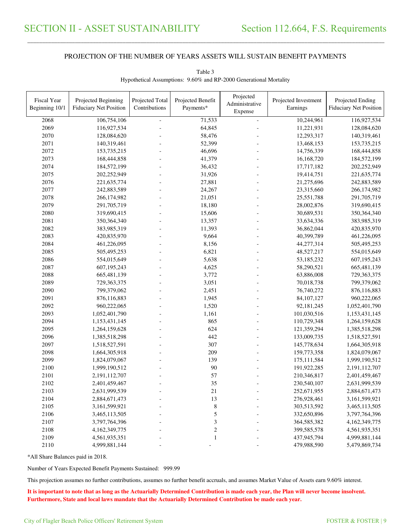\_\_\_\_\_\_\_\_\_\_\_\_\_\_\_\_\_\_\_\_\_\_\_\_\_\_\_\_\_\_\_\_\_\_\_\_\_\_\_\_\_\_\_\_\_\_\_\_\_\_\_\_\_\_\_\_\_\_\_\_\_\_\_\_\_\_\_\_\_\_\_\_\_\_\_\_\_\_\_\_\_\_\_\_\_\_\_\_\_\_\_\_\_\_\_\_\_\_\_\_\_\_\_\_\_\_\_\_\_\_\_\_\_\_\_\_\_\_\_\_\_\_\_\_\_\_\_\_\_\_\_\_\_\_\_\_\_\_\_\_\_\_\_\_\_\_\_\_\_\_

| Fiscal Year<br>Beginning 10/1 | Projected Beginning<br><b>Fiduciary Net Position</b> | Projected Total<br>Contributions | Projected Benefit<br>Payments* | Projected<br>Administrative<br>Expense | Projected Investment<br>Earnings | Projected Ending<br><b>Fiduciary Net Position</b> |
|-------------------------------|------------------------------------------------------|----------------------------------|--------------------------------|----------------------------------------|----------------------------------|---------------------------------------------------|
|                               |                                                      |                                  |                                |                                        |                                  | 116,927,534                                       |
| 2068                          | 106,754,106<br>116,927,534                           | $\blacksquare$                   | 71,533                         | $\overline{a}$                         | 10,244,961                       |                                                   |
| 2069                          |                                                      |                                  | 64,845                         |                                        | 11,221,931                       | 128,084,620                                       |
| 2070                          | 128,084,620                                          |                                  | 58,476                         |                                        | 12,293,317                       | 140,319,461                                       |
| 2071                          | 140,319,461                                          |                                  | 52,399                         |                                        | 13,468,153                       | 153,735,215                                       |
| 2072                          | 153,735,215                                          |                                  | 46,696                         |                                        | 14,756,339                       | 168,444,858                                       |
| 2073                          | 168,444,858                                          |                                  | 41,379                         |                                        | 16,168,720                       | 184,572,199                                       |
| 2074                          | 184,572,199                                          |                                  | 36,432                         |                                        | 17,717,182                       | 202,252,949                                       |
| 2075                          | 202,252,949                                          |                                  | 31,926                         |                                        | 19,414,751                       | 221, 635, 774                                     |
| 2076                          | 221,635,774                                          |                                  | 27,881                         |                                        | 21,275,696                       | 242,883,589                                       |
| 2077                          | 242,883,589                                          |                                  | 24,267                         |                                        | 23,315,660                       | 266,174,982                                       |
| 2078                          | 266,174,982                                          |                                  | 21,051                         |                                        | 25,551,788                       | 291,705,719                                       |
| 2079                          | 291,705,719                                          |                                  | 18,180                         |                                        | 28,002,876                       | 319,690,415                                       |
| 2080                          | 319,690,415                                          |                                  | 15,606                         |                                        | 30,689,531                       | 350, 364, 340                                     |
| 2081                          | 350,364,340                                          |                                  | 13,357                         |                                        | 33,634,336                       | 383,985,319                                       |
| 2082                          | 383,985,319                                          |                                  | 11,393                         |                                        | 36,862,044                       | 420,835,970                                       |
| 2083                          | 420,835,970                                          |                                  | 9,664                          |                                        | 40,399,789                       | 461,226,095                                       |
| 2084                          | 461,226,095                                          |                                  | 8,156                          |                                        | 44,277,314                       | 505,495,253                                       |
| 2085                          | 505,495,253                                          |                                  | 6,821                          |                                        | 48,527,217                       | 554,015,649                                       |
| 2086                          | 554,015,649                                          |                                  | 5,638                          |                                        | 53,185,232                       | 607,195,243                                       |
| 2087                          | 607,195,243                                          |                                  | 4,625                          |                                        | 58,290,521                       | 665,481,139                                       |
| 2088                          | 665,481,139                                          | $\blacksquare$                   | 3,772                          |                                        | 63,886,008                       | 729,363,375                                       |
| 2089                          | 729,363,375                                          |                                  | 3,051                          |                                        | 70,018,738                       | 799,379,062                                       |
| 2090                          | 799,379,062                                          |                                  | 2,451                          |                                        | 76,740,272                       | 876,116,883                                       |
| 2091                          | 876,116,883                                          |                                  | 1,945                          |                                        | 84,107,127                       | 960,222,065                                       |
| 2092                          | 960,222,065                                          |                                  | 1,520                          |                                        | 92,181,245                       | 1,052,401,790                                     |
| 2093                          | 1,052,401,790                                        |                                  | 1,161                          |                                        | 101,030,516                      | 1,153,431,145                                     |
| 2094                          | 1,153,431,145                                        |                                  | 865                            |                                        | 110,729,348                      | 1,264,159,628                                     |
| 2095                          | 1,264,159,628                                        |                                  | 624                            |                                        | 121,359,294                      | 1,385,518,298                                     |
| 2096                          | 1,385,518,298                                        |                                  | 442                            |                                        | 133,009,735                      | 1,518,527,591                                     |
| 2097                          | 1,518,527,591                                        |                                  | 307                            |                                        | 145,778,634                      | 1,664,305,918                                     |
| 2098                          | 1,664,305,918                                        |                                  | 209                            |                                        | 159,773,358                      | 1,824,079,067                                     |
| 2099                          | 1,824,079,067                                        |                                  | 139                            |                                        | 175, 111, 584                    | 1,999,190,512                                     |
| 2100                          | 1,999,190,512                                        |                                  | 90                             |                                        | 191,922,285                      | 2,191,112,707                                     |
| 2101                          | 2,191,112,707                                        |                                  | 57                             |                                        | 210,346,817                      | 2,401,459,467                                     |
| 2102                          | 2,401,459,467                                        |                                  | 35                             |                                        |                                  |                                                   |
|                               |                                                      |                                  |                                |                                        | 230,540,107                      | 2,631,999,539                                     |
| 2103                          | 2,631,999,539                                        |                                  | 21                             |                                        | 252,671,955                      | 2,884,671,473                                     |
| 2104                          | 2,884,671,473                                        |                                  | 13                             |                                        | 276,928,461                      | 3,161,599,921                                     |
| 2105                          | 3,161,599,921                                        |                                  | $\,$ 8 $\,$                    |                                        | 303,513,592                      | 3,465,113,505                                     |
| 2106                          | 3,465,113,505                                        |                                  | 5                              |                                        | 332,650,896                      | 3,797,764,396                                     |
| 2107                          | 3,797,764,396                                        |                                  | 3                              |                                        | 364,585,382                      | 4,162,349,775                                     |
| 2108                          | 4,162,349,775                                        |                                  | $\boldsymbol{2}$               |                                        | 399,585,578                      | 4,561,935,351                                     |
| 2109                          | 4,561,935,351                                        |                                  | $\mathbf{1}$                   |                                        | 437,945,794                      | 4,999,881,144                                     |
| 2110                          | 4,999,881,144                                        |                                  |                                |                                        | 479,988,590                      | 5,479,869,734                                     |

Table 3 Hypothetical Assumptions: 9.60% and RP-2000 Generational Mortality

\*All Share Balances paid in 2018.

Number of Years Expected Benefit Payments Sustained: 999.99

This projection assumes no further contributions, assumes no further benefit accruals, and assumes Market Value of Assets earn 9.60% interest.

**It is important to note that as long as the Actuarially Determined Contribution is made each year, the Plan will never become insolvent. Furthermore, State and local laws mandate that the Actuarially Determined Contribution be made each year.**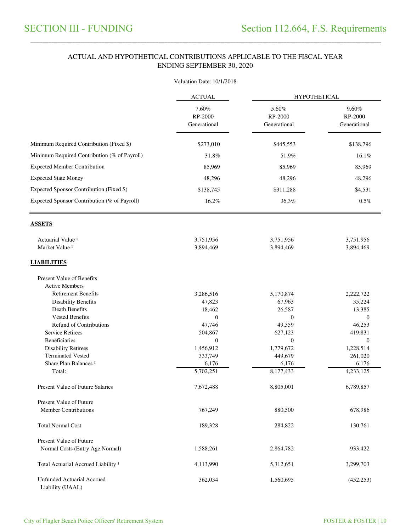#### ACTUAL AND HYPOTHETICAL CONTRIBUTIONS APPLICABLE TO THE FISCAL YEAR ENDING SEPTEMBER 30, 2020

\_\_\_\_\_\_\_\_\_\_\_\_\_\_\_\_\_\_\_\_\_\_\_\_\_\_\_\_\_\_\_\_\_\_\_\_\_\_\_\_\_\_\_\_\_\_\_\_\_\_\_\_\_\_\_\_\_\_\_\_\_\_\_\_\_\_\_\_\_\_\_\_\_\_\_\_\_\_\_\_\_\_\_\_\_\_\_\_\_\_\_\_\_\_\_\_\_\_\_\_\_\_\_\_\_\_\_\_\_\_\_\_\_\_\_\_\_\_\_\_\_\_\_\_\_\_\_\_\_\_\_\_\_\_\_\_\_\_\_\_\_\_\_\_\_\_\_\_\_\_

|                                                | Valuation Date: 10/1/2018        |                                  |                                  |  |
|------------------------------------------------|----------------------------------|----------------------------------|----------------------------------|--|
|                                                | <b>ACTUAL</b>                    | <b>HYPOTHETICAL</b>              |                                  |  |
|                                                | 7.60%<br>RP-2000<br>Generational | 5.60%<br>RP-2000<br>Generational | 9.60%<br>RP-2000<br>Generational |  |
| Minimum Required Contribution (Fixed \$)       | \$273,010                        | \$445,553                        | \$138,796                        |  |
| Minimum Required Contribution (% of Payroll)   | 31.8%                            | 51.9%                            | 16.1%                            |  |
| <b>Expected Member Contribution</b>            | 85,969                           | 85,969                           | 85,969                           |  |
| <b>Expected State Money</b>                    | 48,296                           | 48,296                           | 48,296                           |  |
|                                                |                                  |                                  |                                  |  |
| Expected Sponsor Contribution (Fixed \$)       | \$138,745                        | \$311,288                        | \$4,531                          |  |
| Expected Sponsor Contribution (% of Payroll)   | 16.2%                            | 36.3%                            | 0.5%                             |  |
| <b>ASSETS</b>                                  |                                  |                                  |                                  |  |
| Actuarial Value <sup>1</sup>                   | 3,751,956                        | 3,751,956                        | 3,751,956                        |  |
| Market Value <sup>1</sup>                      | 3,894,469                        | 3,894,469                        | 3,894,469                        |  |
| <b>LIABILITIES</b>                             |                                  |                                  |                                  |  |
| <b>Present Value of Benefits</b>               |                                  |                                  |                                  |  |
| <b>Active Members</b>                          |                                  |                                  |                                  |  |
| <b>Retirement Benefits</b>                     | 3,286,516                        | 5,170,874                        | 2,222,722                        |  |
| <b>Disability Benefits</b><br>Death Benefits   | 47,823                           | 67,963                           | 35,224                           |  |
| <b>Vested Benefits</b>                         | 18,462<br>$\overline{0}$         | 26,587<br>$\overline{0}$         | 13,385<br>$\overline{0}$         |  |
| <b>Refund of Contributions</b>                 | 47,746                           | 49,359                           | 46,253                           |  |
| <b>Service Retirees</b>                        | 504,867                          | 627,123                          | 419,831                          |  |
| <b>Beneficiaries</b>                           | $\Omega$                         | $\Omega$                         | $\Omega$                         |  |
| <b>Disability Retirees</b>                     | 1,456,912                        | 1,779,672                        | 1,228,514                        |  |
| <b>Terminated Vested</b>                       | 333,749                          | 449,679                          | 261,020                          |  |
| Share Plan Balances <sup>1</sup>               | 6,176                            | 6,176                            | 6,176                            |  |
| Total:                                         | 5,702,251                        | 8,177,433                        | 4,233,125                        |  |
| Present Value of Future Salaries               | 7,672,488                        | 8,805,001                        | 6,789,857                        |  |
| <b>Present Value of Future</b>                 |                                  |                                  |                                  |  |
| <b>Member Contributions</b>                    | 767,249                          | 880,500                          | 678,986                          |  |
| <b>Total Normal Cost</b>                       | 189,328                          | 284,822                          | 130,761                          |  |
| <b>Present Value of Future</b>                 |                                  |                                  |                                  |  |
| Normal Costs (Entry Age Normal)                | 1,588,261                        | 2,864,782                        | 933,422                          |  |
| Total Actuarial Accrued Liability <sup>1</sup> | 4,113,990                        | 5,312,651                        | 3,299,703                        |  |
| Unfunded Actuarial Accrued<br>Liability (UAAL) | 362,034                          | 1,560,695                        | (452, 253)                       |  |